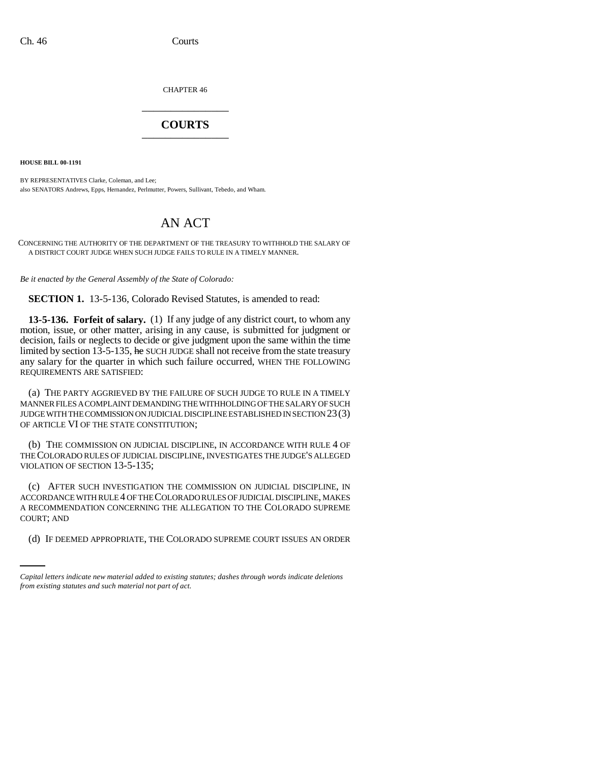CHAPTER 46 \_\_\_\_\_\_\_\_\_\_\_\_\_\_\_

## **COURTS** \_\_\_\_\_\_\_\_\_\_\_\_\_\_\_

**HOUSE BILL 00-1191** 

BY REPRESENTATIVES Clarke, Coleman, and Lee; also SENATORS Andrews, Epps, Hernandez, Perlmutter, Powers, Sullivant, Tebedo, and Wham.

## AN ACT

CONCERNING THE AUTHORITY OF THE DEPARTMENT OF THE TREASURY TO WITHHOLD THE SALARY OF A DISTRICT COURT JUDGE WHEN SUCH JUDGE FAILS TO RULE IN A TIMELY MANNER.

*Be it enacted by the General Assembly of the State of Colorado:*

**SECTION 1.** 13-5-136, Colorado Revised Statutes, is amended to read:

**13-5-136. Forfeit of salary.** (1) If any judge of any district court, to whom any motion, issue, or other matter, arising in any cause, is submitted for judgment or decision, fails or neglects to decide or give judgment upon the same within the time limited by section 13-5-135, he SUCH JUDGE shall not receive from the state treasury any salary for the quarter in which such failure occurred, WHEN THE FOLLOWING REQUIREMENTS ARE SATISFIED:

(a) THE PARTY AGGRIEVED BY THE FAILURE OF SUCH JUDGE TO RULE IN A TIMELY MANNER FILES A COMPLAINT DEMANDING THE WITHHOLDING OF THE SALARY OF SUCH JUDGE WITH THE COMMISSION ON JUDICIAL DISCIPLINE ESTABLISHED IN SECTION 23(3) OF ARTICLE VI OF THE STATE CONSTITUTION;

(b) THE COMMISSION ON JUDICIAL DISCIPLINE, IN ACCORDANCE WITH RULE 4 OF THE COLORADO RULES OF JUDICIAL DISCIPLINE, INVESTIGATES THE JUDGE'S ALLEGED VIOLATION OF SECTION 13-5-135;

COURT; AND (c) AFTER SUCH INVESTIGATION THE COMMISSION ON JUDICIAL DISCIPLINE, IN ACCORDANCE WITH RULE 4 OF THE COLORADO RULES OF JUDICIAL DISCIPLINE, MAKES A RECOMMENDATION CONCERNING THE ALLEGATION TO THE COLORADO SUPREME

(d) IF DEEMED APPROPRIATE, THE COLORADO SUPREME COURT ISSUES AN ORDER

*Capital letters indicate new material added to existing statutes; dashes through words indicate deletions from existing statutes and such material not part of act.*